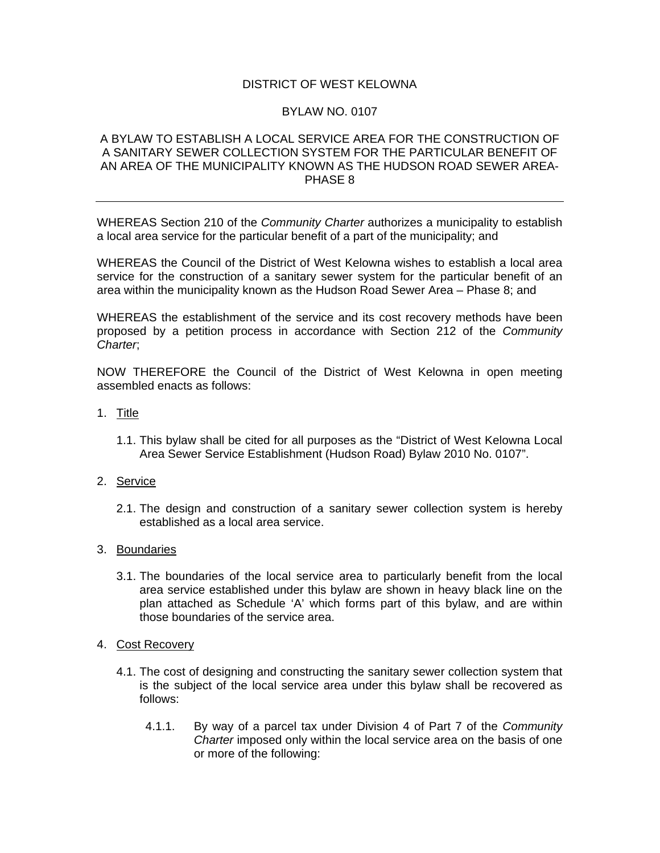## DISTRICT OF WEST KELOWNA

## BYLAW NO. 0107

## A BYLAW TO ESTABLISH A LOCAL SERVICE AREA FOR THE CONSTRUCTION OF A SANITARY SEWER COLLECTION SYSTEM FOR THE PARTICULAR BENEFIT OF AN AREA OF THE MUNICIPALITY KNOWN AS THE HUDSON ROAD SEWER AREA-PHASE 8

WHEREAS Section 210 of the *Community Charter* authorizes a municipality to establish a local area service for the particular benefit of a part of the municipality; and

WHEREAS the Council of the District of West Kelowna wishes to establish a local area service for the construction of a sanitary sewer system for the particular benefit of an area within the municipality known as the Hudson Road Sewer Area – Phase 8; and

WHEREAS the establishment of the service and its cost recovery methods have been proposed by a petition process in accordance with Section 212 of the *Community Charter*;

NOW THEREFORE the Council of the District of West Kelowna in open meeting assembled enacts as follows:

- 1. Title
	- 1.1. This bylaw shall be cited for all purposes as the "District of West Kelowna Local Area Sewer Service Establishment (Hudson Road) Bylaw 2010 No. 0107".
- 2. Service
	- 2.1. The design and construction of a sanitary sewer collection system is hereby established as a local area service.
- 3. Boundaries
	- 3.1. The boundaries of the local service area to particularly benefit from the local area service established under this bylaw are shown in heavy black line on the plan attached as Schedule 'A' which forms part of this bylaw, and are within those boundaries of the service area.
- 4. Cost Recovery
	- 4.1. The cost of designing and constructing the sanitary sewer collection system that is the subject of the local service area under this bylaw shall be recovered as follows:
		- 4.1.1. By way of a parcel tax under Division 4 of Part 7 of the *Community Charter* imposed only within the local service area on the basis of one or more of the following: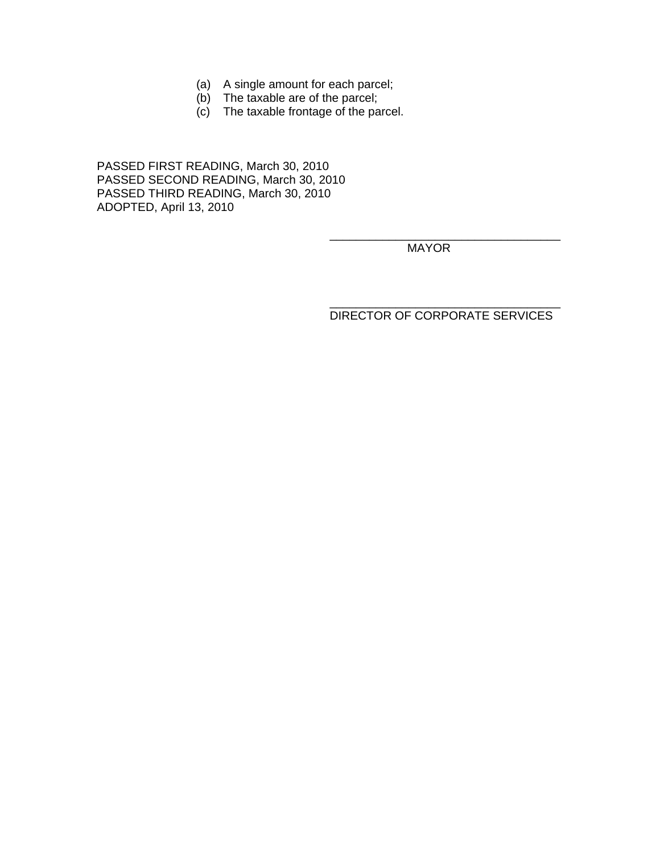- (a) A single amount for each parcel;
- (b) The taxable are of the parcel;
- (c) The taxable frontage of the parcel.

 $\overline{\phantom{a}}$  , which is a set of the contract of the contract of the contract of the contract of the contract of the contract of the contract of the contract of the contract of the contract of the contract of the contract

 $\overline{\phantom{a}}$  , which is a set of the contract of the contract of the contract of the contract of the contract of the contract of the contract of the contract of the contract of the contract of the contract of the contract

PASSED FIRST READING, March 30, 2010 PASSED SECOND READING, March 30, 2010 PASSED THIRD READING, March 30, 2010 ADOPTED, April 13, 2010

MAYOR

DIRECTOR OF CORPORATE SERVICES